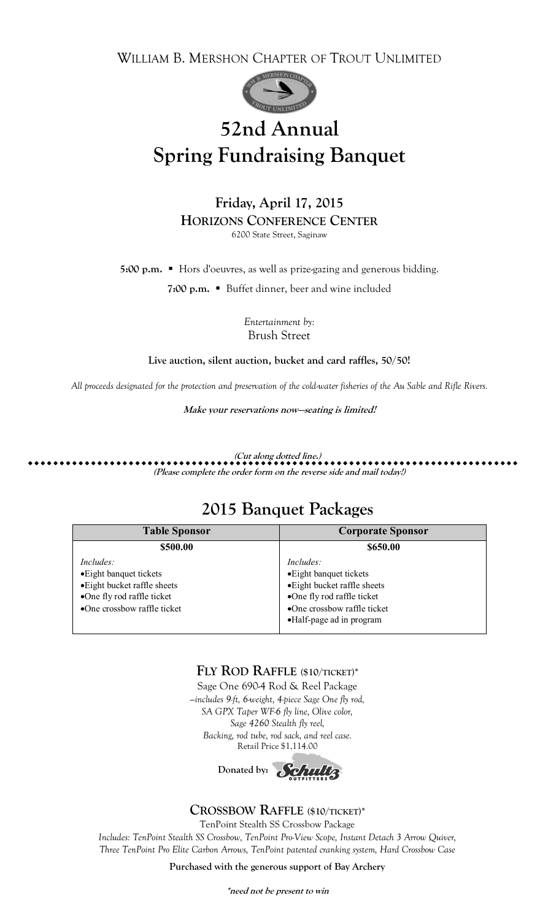WILLIAM B. MERSHON CHAPTER OF TROUT UNLIMITED



# **52nd Annual Spring Fundraising Banquet**

**Friday, April 17, 2015 HORIZONS CONFERENCE CENTER** 6200 State Street, Saginaw

**5:00 p.m. ■** Hors d'oeuvres, as well as prize-gazing and generous bidding.

**7:00 p.m.** ■ Buffet dinner, beer and wine included

*Entertainment by:*  Brush Street

**Live auction, silent auction, bucket and card raffles, 50/50!**

*All proceeds designated for the protection and preservation of the cold-water fisheries of the Au Sable and Rifle Rivers.*

**Make your reservations now—seating is limited!**

**(Cut along dotted line.) ..............................................................................**

**(Please complete the order form on the reverse side and mail today!)**

### **2015 Banquet Packages**

| <b>Table Sponsor</b>                                                                                                              | <b>Corporate Sponsor</b>                                                                                                                                      |  |
|-----------------------------------------------------------------------------------------------------------------------------------|---------------------------------------------------------------------------------------------------------------------------------------------------------------|--|
| \$500.00                                                                                                                          | \$650.00                                                                                                                                                      |  |
| Includes:<br>• Eight banquet tickets<br>• Eight bucket raffle sheets<br>•One fly rod raffle ticket<br>•One crossbow raffle ticket | Includes:<br>• Eight banquet tickets<br>• Eight bucket raffle sheets<br>•One fly rod raffle ticket<br>•One crossbow raffle ticket<br>•Half-page ad in program |  |

#### **FLY ROD RAFFLE (\$10/TICKET)\***

Sage One 690-4 Rod & Reel Package *—includes 9-ft, 6-weight, 4-piece Sage One fly rod, SA GPX Taper WF-6 fly line, Olive color, Sage 4260 Stealth fly reel, Backing, rod tube, rod sack, and reel case.* Retail Price \$1,114.00

Donated by: **Schultz** 

#### **CROSSBOW RAFFLE (\$10/TICKET)\***

TenPoint Stealth SS Crossbow Package

*Includes: TenPoint Stealth SS Crossbow, TenPoint Pro-View Scope, Instant Detach 3 Arrow Quiver, Three TenPoint Pro Elite Carbon Arrows, TenPoint patented cranking system, Hard Crossbow Case*

**Purchased with the generous support of Bay Archery**

**\*need not be present to win**